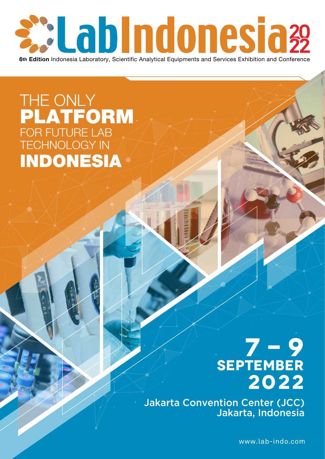

THE ONLY TECHNOLOGY IN FOR FUTURE LAB PLATFORM INDONESIA

# **7 - 9 SEPTEMBER 2022**

Jakarta Convention Center (JCC) Jakarta, Indonesia

www.lab-indo.com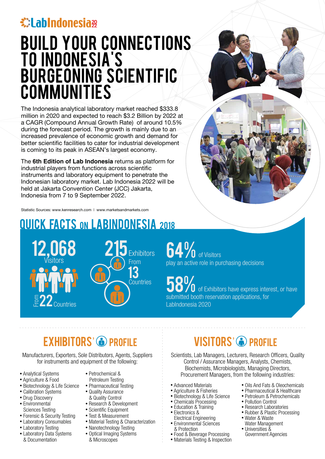## **WilabIndonesia**

## Build Your Connections to Indonesia'S Burgeoning Scientific **COMMUNITIES**

The Indonesia analytical laboratory market reached \$333.8 million in 2020 and expected to reach \$3.2 Billion by 2022 at a CAGR (Compound Annual Growth Rate) of around 10.5% during the forecast period. The growth is mainly due to an increased prevalence of economic growth and demand for better scientific facilities to cater for industrial development is coming to its peak in ASEAN's largest economy.

The **6th Edition of Lab Indonesia** returns as platform for industrial players from functions across scientific instruments and laboratory equipment to penetrate the Indonesian laboratory market. Lab Indonesia 2022 will be held at Jakarta Convention Center (JCC) Jakarta, Indonesia from 7 to 9 September 2022.



Statistic Sources: www.kenresearch.com | www.marketsandmarkets.com

## QUICK FACTS ON LABINDONESIA 2018



 $64\%$  of Visitors play an active role in purchasing decisions

58% of Exhibitors have express interest, or have submitted booth reservation applications, for LabIndonesia 2020

### EXHIBITORS' @ PROFILE VISITORS' @ PROFILE

Manufacturers, Exporters, Sole Distributors, Agents, Suppliers for instruments and equipment of the following:

- Analytical Systems
- Agriculture & Food
- Biotechnology & Life Science
- Calibration Systems
- Drug Discovery
- Environmental Sciences Testing
- Forensic & Security Testing
- Laboratory Consumables
- Laboratory Testing
- Laboratory Data Systems & Documentation
- Petrochemical & Petroleum Testing
- Pharmaceutical Testing
- Quality Assurance
- & Quality Control • Research & Development
- Scientific Equipment
- Test & Measurement
- Material Testing & Characterization
- Nanotechnology Testing
- Optical Imaging Systems
- & Microscopes

Scientists, Lab Managers, Lecturers, Research Officers, Quality Control / Assurance Managers, Analysts, Chemists, Biochemists, Microbiologists, Managing Directors, Procurement Managers, from the following industries:

- 
- Advanced Materials<br>• Agriculture & Fisheries
- Biotechnology & Life Science<br>• Chemicals Processing<br>• Education & Training
- 
- -
- Electronics &<br>
 Electrical Engineering<br>
 Environmental Sciences<br>
& Protection
- 
- Food & Beverage Processing<br>• Materials Testing & Inspection
- 
- Oils And Fats & Oleochemicals<br>• Pharmaceutical & Healthcare
- 
- Petroleum & Petrochemicals<br>• Pollution Control<br>• Research Laboratories
- 
- 
- Rubber & Plastic Processing<br>• Water & Waste
- Water Management<br>• Universities &
- Government Agencies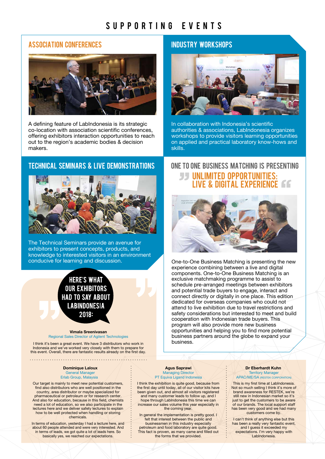### SUPPORTING EVENTS

#### ASSOCIATION CONFERENCES



A defining feature of LabIndonesia is its strategic co-location with association scientific conferences, offering exhibitors interaction opportunities to reach out to the region's academic bodies & decision makers.

### Technical Seminars & Live Demonstrations



The Technical Seminars provide an avenue for exhibitors to present concepts, products, and knowledge to interested visitors in an environment conducive for learning and discussion.

> **HERE'S WHAT OUR EXHIBITORS HAD TO SAY ABOUT LABINDONESIA** 2018:

#### **Vimala Sreenivasan** Regional Sales Director of Agilent Technologies

I think it's been a great event. We have 3 distributors who work in Indonesia and we've worked very closely with them to prepare for this event. Overall, there are fantastic results already on the first day.

#### **Dominique Laloux** General Manage Erlab Group, Malaysia

Our target is mainly to meet new potential customers, find also distributors who are well positioned in the country, area distributor or maybe specialized for pharmaceutical or petroleum or for research center. And also for education, because in this field, chemists need a lot of education, so we also participate in the lectures here and we deliver safety lectures to explain how to be well protected when handling or storing chemicals.

In terms of education, yesterday I had a lecture here, and about 60 people attended and were very interested. And in terms of leads, we got quite a lot of leads here. So basically yes, we reached our expectations.

#### Industry Workshops



In collaboration with Indonesia's scientific authorities & associations, LabIndonesia organizes workshops to provide visitors learning opportunities on applied and practical laboratory know-hows and skills.

### One to One Business Matching is presenting **JJ UNLIMITED OPPORTUNITIES:** LIVE & DIGITAL EXPERIENCE CC



One-to-One Business Matching is presenting the new experience combining between a live and digital components. One-to-One Business Matching is an exclusive matchmaking programme to assist to schedule pre-arranged meetings between exhibitors and potential trade buyers to engage, interact and connect directly or digitally in one place. This edition dedicated for overseas companies who could not attend to live exhibition due to travel restrictions and safety considerations but interested to meet and build cooperation with Indonesian trade buyers. This program will also provide more new business opportunities and helping you to find more potential business partners around the globe to expand your business.

#### **Agus Saprawi** Managing Director PT Equiva Ligand Indonesia

I think the exhibition is quite good, because from the first day until today, all of our visitor kits have been given out, and almost all visitors registered and many customer leads to follow up, and I hope through LabIndonesia this time we can increase our sales volume this year especially in the coming year.

In general the implementation is pretty good. I felt that interest between the public and businessmen in this industry especially petroleum and food laboratory are quite good. This fact is proven, as many came and filled out the forms that we provided.

#### **Dr Eberhardt Kuhn**  Territory Manager APAC/ME/SA (RESTEK CORPORATION)

This is my first time at LabIndonesia. Not so much selling I think it's more of brand awareness for RESTEK, we're still new in Indonesian market so it's just to get the customers to be aware of our brands. The local support staff has been very good and we had many customers come by.

I can't think of anything else but this has been a really very fantastic event, and I guess it exceeded my expectations. I'm very happy with LabIndonesia.